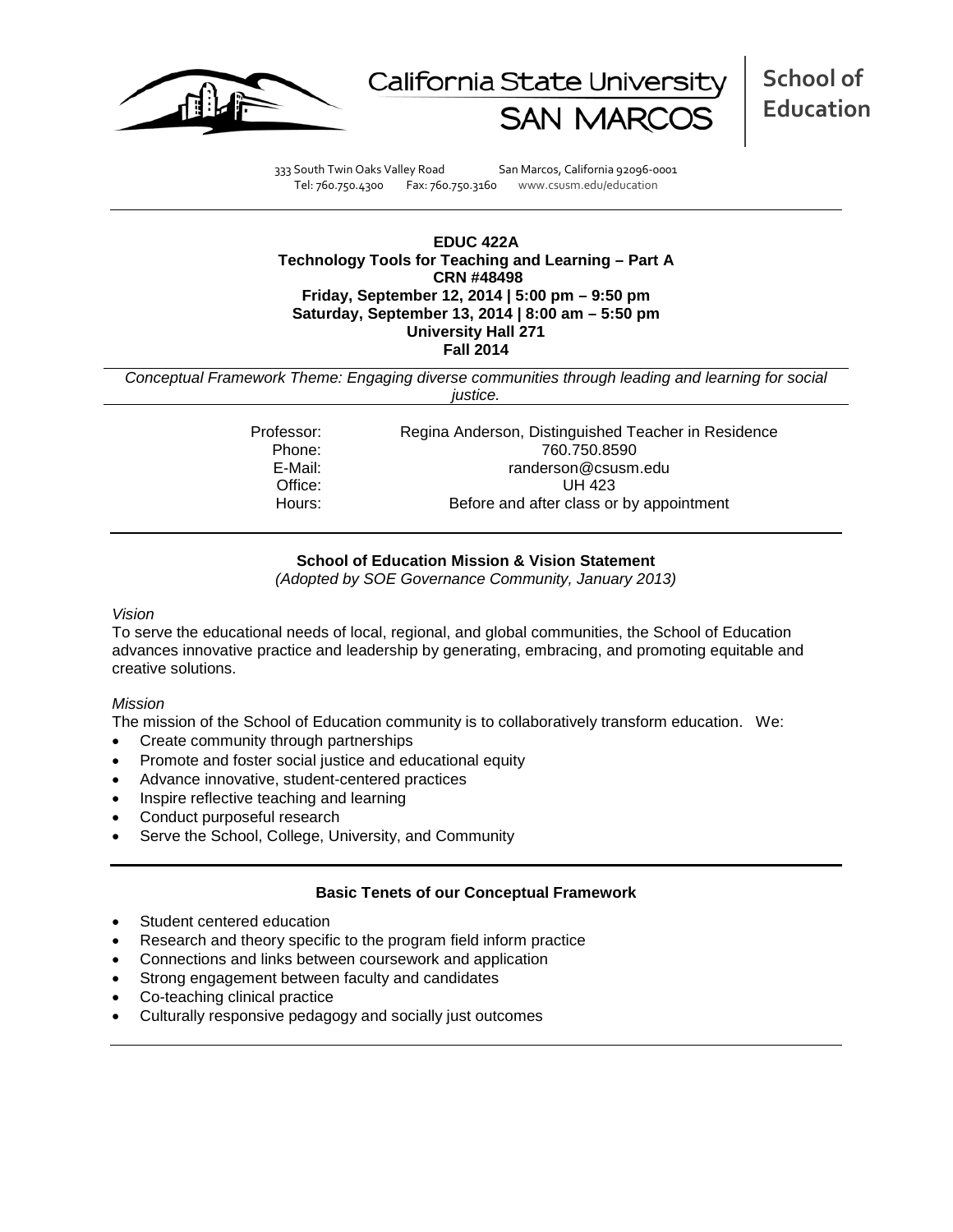



**School of Education**

333 South Twin Oaks Valley Road San Marcos, California 92096-0001 Tel: 760.750.4300 Fax: 760.750.3160 www.csusm.edu/education

#### **EDUC 422A Technology Tools for Teaching and Learning – Part A CRN #48498 Friday, September 12, 2014 | 5:00 pm – 9:50 pm Saturday, September 13, 2014 | 8:00 am – 5:50 pm University Hall 271 Fall 2014**

*Conceptual Framework Theme: Engaging diverse communities through leading and learning for social justice.*

Professor: Regina Anderson, Distinguished Teacher in Residence<br>Phone: 760.750.8590 Phone: 760.750.8590 E-Mail: randerson@csusm.edu Office: UH 423<br>
Hours: Before and after class or Before and after class or by appointment

## **School of Education Mission & Vision Statement**

*(Adopted by SOE Governance Community, January 2013)*

#### *Vision*

To serve the educational needs of local, regional, and global communities, the School of Education advances innovative practice and leadership by generating, embracing, and promoting equitable and creative solutions.

#### *Mission*

The mission of the School of Education community is to collaboratively transform education. We:

- Create community through partnerships
- Promote and foster social justice and educational equity
- Advance innovative, student-centered practices
- Inspire reflective teaching and learning
- Conduct purposeful research
- Serve the School, College, University, and Community

## **Basic Tenets of our Conceptual Framework**

- Student centered education
- Research and theory specific to the program field inform practice
- Connections and links between coursework and application
- Strong engagement between faculty and candidates
- Co-teaching clinical practice
- Culturally responsive pedagogy and socially just outcomes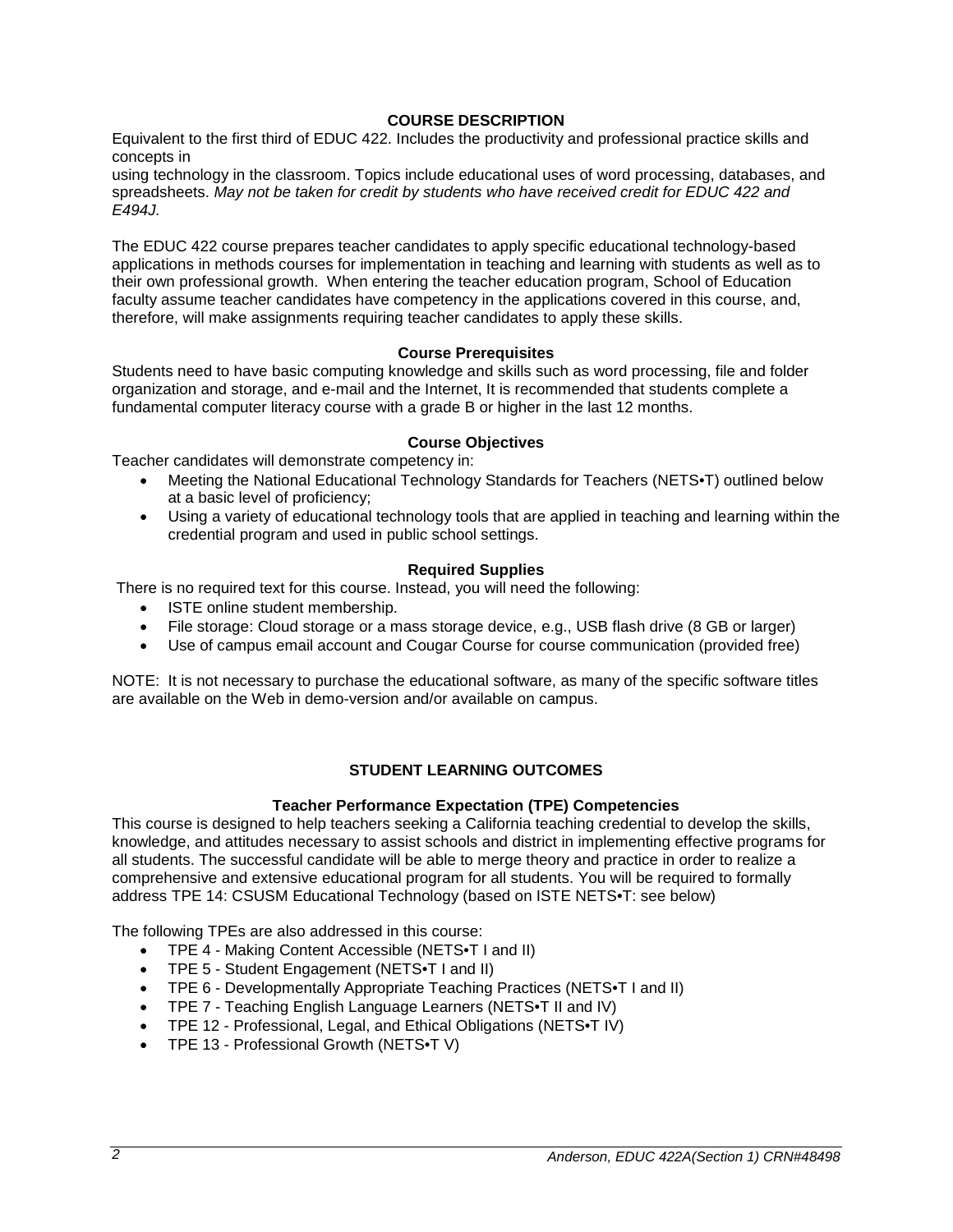## **COURSE DESCRIPTION**

Equivalent to the first third of EDUC 422. Includes the productivity and professional practice skills and concepts in

using technology in the classroom. Topics include educational uses of word processing, databases, and spreadsheets. *May not be taken for credit by students who have received credit for EDUC 422 and E494J.*

The EDUC 422 course prepares teacher candidates to apply specific educational technology-based applications in methods courses for implementation in teaching and learning with students as well as to their own professional growth. When entering the teacher education program, School of Education faculty assume teacher candidates have competency in the applications covered in this course, and, therefore, will make assignments requiring teacher candidates to apply these skills.

#### **Course Prerequisites**

Students need to have basic computing knowledge and skills such as word processing, file and folder organization and storage, and e-mail and the Internet, It is recommended that students complete a fundamental computer literacy course with a grade B or higher in the last 12 months.

#### **Course Objectives**

Teacher candidates will demonstrate competency in:

- Meeting the National Educational Technology Standards for Teachers (NETS•T) outlined below at a basic level of proficiency;
- Using a variety of educational technology tools that are applied in teaching and learning within the credential program and used in public school settings.

## **Required Supplies**

There is no required text for this course. Instead, you will need the following:

- ISTE online student membership.
- File storage: Cloud storage or a mass storage device, e.g., USB flash drive (8 GB or larger)
- Use of campus email account and Cougar Course for course communication (provided free)

NOTE: It is not necessary to purchase the educational software, as many of the specific software titles are available on the Web in demo-version and/or available on campus.

## **STUDENT LEARNING OUTCOMES**

#### **Teacher Performance Expectation (TPE) Competencies**

This course is designed to help teachers seeking a California teaching credential to develop the skills, knowledge, and attitudes necessary to assist schools and district in implementing effective programs for all students. The successful candidate will be able to merge theory and practice in order to realize a comprehensive and extensive educational program for all students. You will be required to formally address TPE 14: CSUSM Educational Technology (based on ISTE NETS•T: see below)

The following TPEs are also addressed in this course:

- TPE 4 Making Content Accessible (NETS•T I and II)
- TPE 5 Student Engagement (NETS•T I and II)
- TPE 6 Developmentally Appropriate Teaching Practices (NETS•T I and II)
- TPE 7 Teaching English Language Learners (NETS•T II and IV)
- TPE 12 Professional, Legal, and Ethical Obligations (NETS . IV)
- TPE 13 Professional Growth (NETS•T V)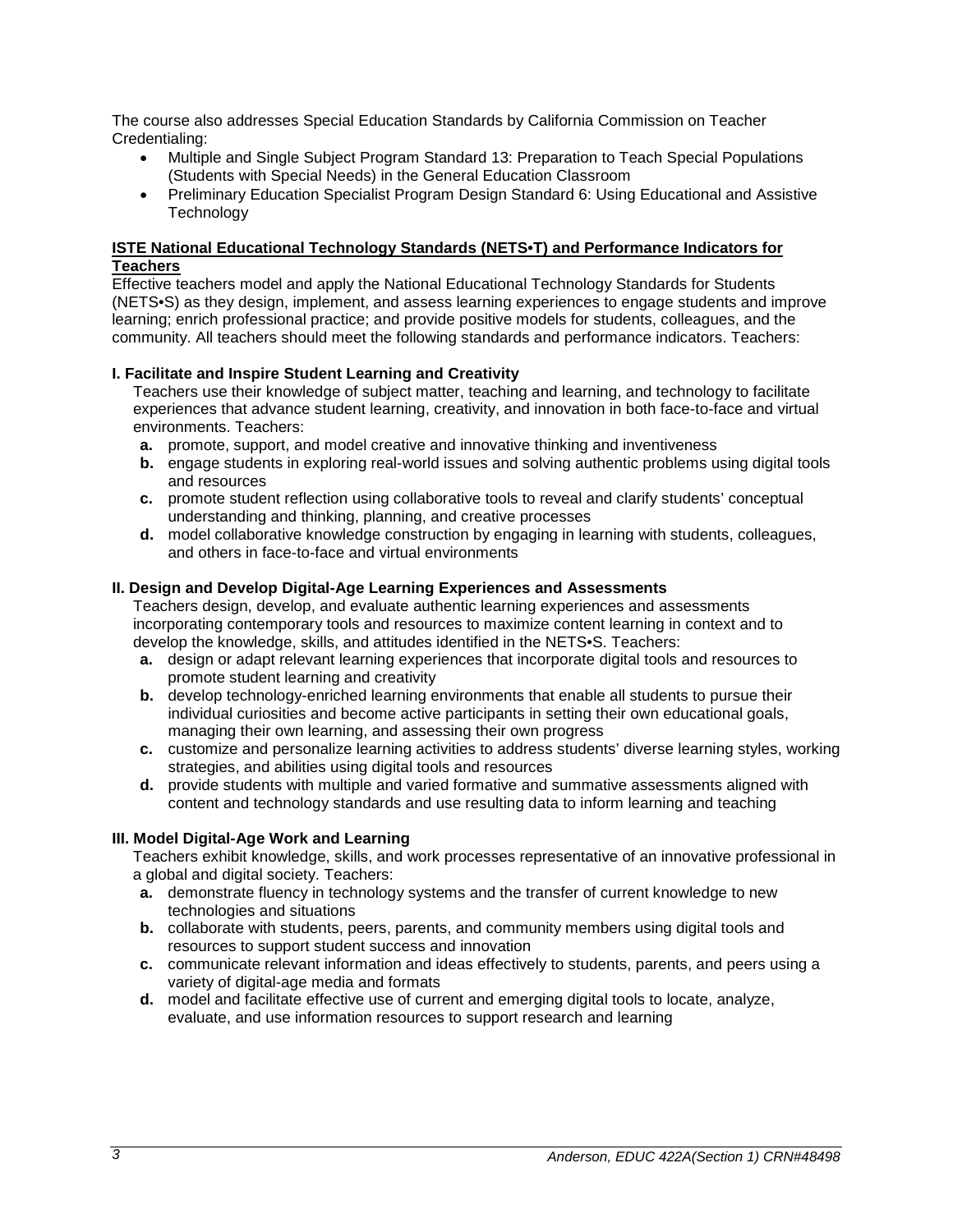The course also addresses Special Education Standards by California Commission on Teacher Credentialing:

- Multiple and Single Subject Program Standard 13: Preparation to Teach Special Populations (Students with Special Needs) in the General Education Classroom
- Preliminary Education Specialist Program Design Standard 6: Using Educational and Assistive **Technology**

## **ISTE National Educational Technology Standards (NETS•T) and Performance Indicators for Teachers**

Effective teachers model and apply the National Educational Technology Standards for Students (NETS•S) as they design, implement, and assess learning experiences to engage students and improve learning; enrich professional practice; and provide positive models for students, colleagues, and the community. All teachers should meet the following standards and performance indicators. Teachers:

# **I. Facilitate and Inspire Student Learning and Creativity**

Teachers use their knowledge of subject matter, teaching and learning, and technology to facilitate experiences that advance student learning, creativity, and innovation in both face-to-face and virtual environments. Teachers:

- **a.** promote, support, and model creative and innovative thinking and inventiveness
- **b.** engage students in exploring real-world issues and solving authentic problems using digital tools and resources
- **c.** promote student reflection using collaborative tools to reveal and clarify students' conceptual understanding and thinking, planning, and creative processes
- **d.** model collaborative knowledge construction by engaging in learning with students, colleagues, and others in face-to-face and virtual environments

# **II. Design and Develop Digital-Age Learning Experiences and Assessments**

Teachers design, develop, and evaluate authentic learning experiences and assessments incorporating contemporary tools and resources to maximize content learning in context and to develop the knowledge, skills, and attitudes identified in the NETS•S. Teachers:

- **a.** design or adapt relevant learning experiences that incorporate digital tools and resources to promote student learning and creativity
- **b.** develop technology-enriched learning environments that enable all students to pursue their individual curiosities and become active participants in setting their own educational goals, managing their own learning, and assessing their own progress
- **c.** customize and personalize learning activities to address students' diverse learning styles, working strategies, and abilities using digital tools and resources
- **d.** provide students with multiple and varied formative and summative assessments aligned with content and technology standards and use resulting data to inform learning and teaching

## **III. Model Digital-Age Work and Learning**

Teachers exhibit knowledge, skills, and work processes representative of an innovative professional in a global and digital society. Teachers:

- **a.** demonstrate fluency in technology systems and the transfer of current knowledge to new technologies and situations
- **b.** collaborate with students, peers, parents, and community members using digital tools and resources to support student success and innovation
- **c.** communicate relevant information and ideas effectively to students, parents, and peers using a variety of digital-age media and formats
- **d.** model and facilitate effective use of current and emerging digital tools to locate, analyze, evaluate, and use information resources to support research and learning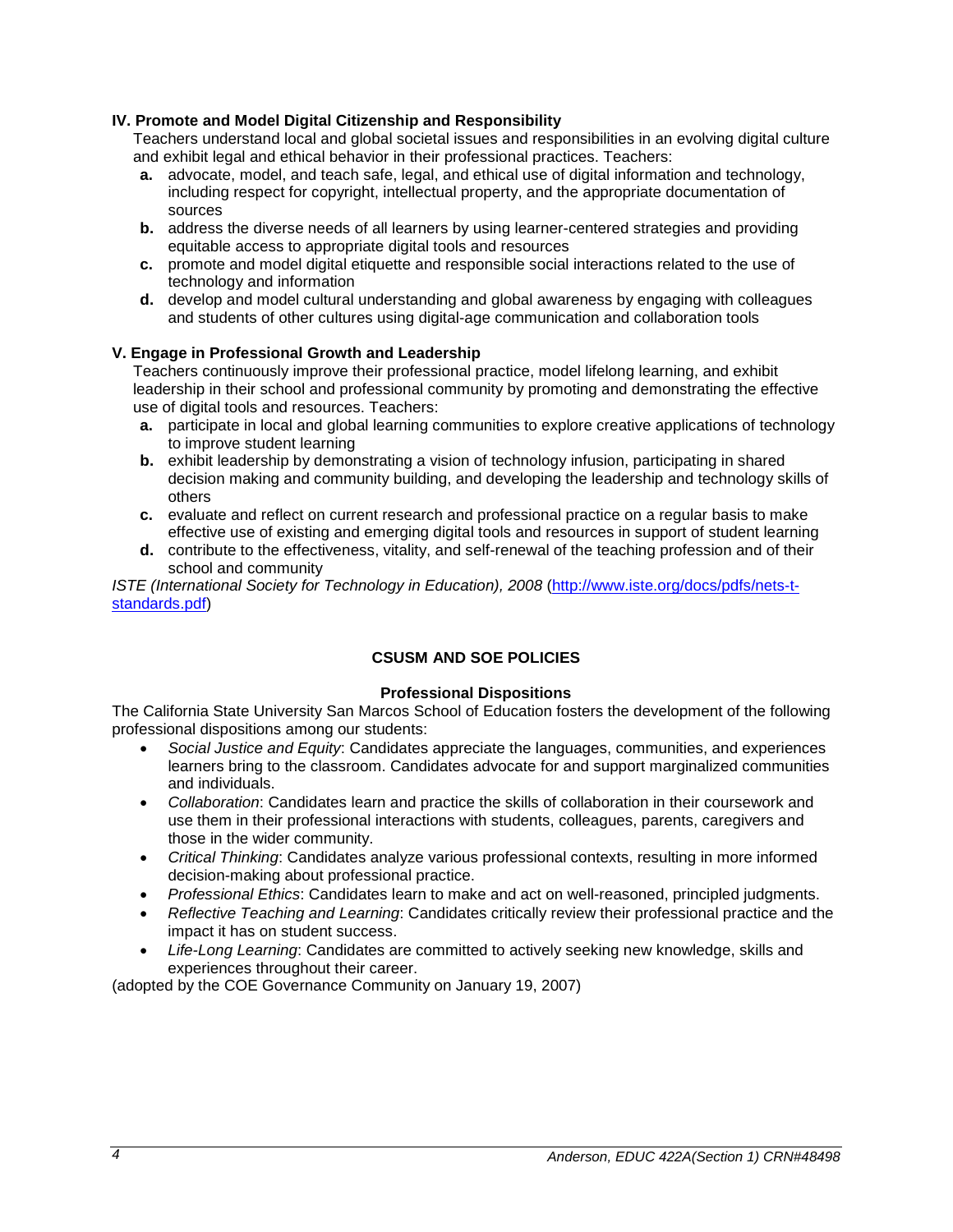## **IV. Promote and Model Digital Citizenship and Responsibility**

Teachers understand local and global societal issues and responsibilities in an evolving digital culture and exhibit legal and ethical behavior in their professional practices. Teachers:

- **a.** advocate, model, and teach safe, legal, and ethical use of digital information and technology, including respect for copyright, intellectual property, and the appropriate documentation of sources
- **b.** address the diverse needs of all learners by using learner-centered strategies and providing equitable access to appropriate digital tools and resources
- **c.** promote and model digital etiquette and responsible social interactions related to the use of technology and information
- **d.** develop and model cultural understanding and global awareness by engaging with colleagues and students of other cultures using digital-age communication and collaboration tools

#### **V. Engage in Professional Growth and Leadership**

Teachers continuously improve their professional practice, model lifelong learning, and exhibit leadership in their school and professional community by promoting and demonstrating the effective use of digital tools and resources. Teachers:

- **a.** participate in local and global learning communities to explore creative applications of technology to improve student learning
- **b.** exhibit leadership by demonstrating a vision of technology infusion, participating in shared decision making and community building, and developing the leadership and technology skills of others
- **c.** evaluate and reflect on current research and professional practice on a regular basis to make effective use of existing and emerging digital tools and resources in support of student learning
- **d.** contribute to the effectiveness, vitality, and self-renewal of the teaching profession and of their school and community

*ISTE (International Society for Technology in Education), 2008* [\(http://www.iste.org/docs/pdfs/nets-t](http://www.iste.org/docs/pdfs/nets-t-standards.pdf)[standards.pdf\)](http://www.iste.org/docs/pdfs/nets-t-standards.pdf)

## **CSUSM AND SOE POLICIES**

## **Professional Dispositions**

The California State University San Marcos School of Education fosters the development of the following professional dispositions among our students:

- *Social Justice and Equity*: Candidates appreciate the languages, communities, and experiences learners bring to the classroom. Candidates advocate for and support marginalized communities and individuals.
- *Collaboration*: Candidates learn and practice the skills of collaboration in their coursework and use them in their professional interactions with students, colleagues, parents, caregivers and those in the wider community.
- *Critical Thinking*: Candidates analyze various professional contexts, resulting in more informed decision-making about professional practice.
- *Professional Ethics*: Candidates learn to make and act on well-reasoned, principled judgments.
- *Reflective Teaching and Learning*: Candidates critically review their professional practice and the impact it has on student success.
- *Life-Long Learning*: Candidates are committed to actively seeking new knowledge, skills and experiences throughout their career.

(adopted by the COE Governance Community on January 19, 2007)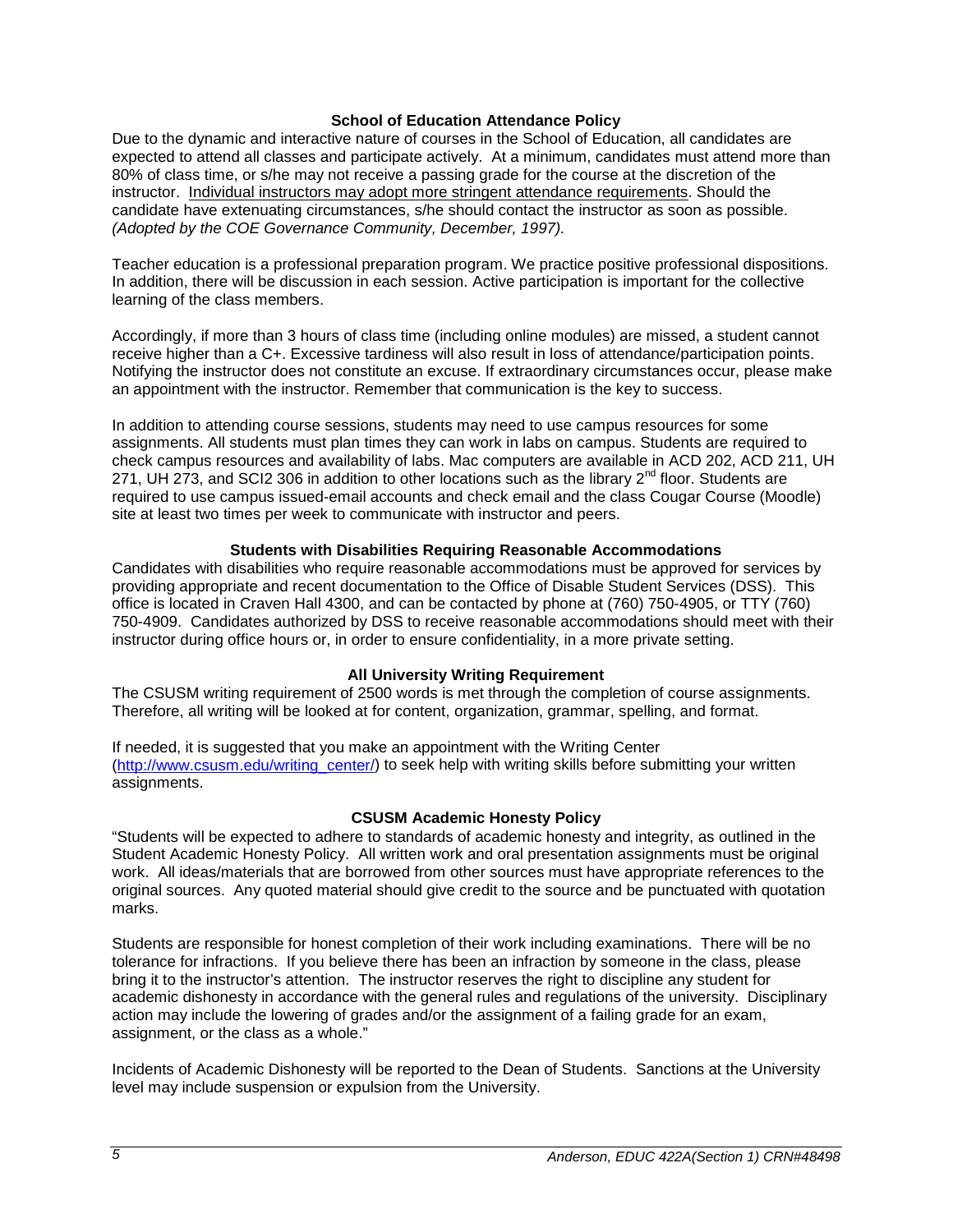#### **School of Education Attendance Policy**

Due to the dynamic and interactive nature of courses in the School of Education, all candidates are expected to attend all classes and participate actively. At a minimum, candidates must attend more than 80% of class time, or s/he may not receive a passing grade for the course at the discretion of the instructor. Individual instructors may adopt more stringent attendance requirements. Should the candidate have extenuating circumstances, s/he should contact the instructor as soon as possible. *(Adopted by the COE Governance Community, December, 1997).*

Teacher education is a professional preparation program. We practice positive professional dispositions. In addition, there will be discussion in each session. Active participation is important for the collective learning of the class members.

Accordingly, if more than 3 hours of class time (including online modules) are missed, a student cannot receive higher than a C+. Excessive tardiness will also result in loss of attendance/participation points. Notifying the instructor does not constitute an excuse. If extraordinary circumstances occur, please make an appointment with the instructor. Remember that communication is the key to success.

In addition to attending course sessions, students may need to use campus resources for some assignments. All students must plan times they can work in labs on campus. Students are required to check campus resources and availability of labs. Mac computers are available in ACD 202, ACD 211, UH 271, UH 273, and SCI2 306 in addition to other locations such as the library  $2<sup>nd</sup>$  floor. Students are required to use campus issued-email accounts and check email and the class Cougar Course (Moodle) site at least two times per week to communicate with instructor and peers.

#### **Students with Disabilities Requiring Reasonable Accommodations**

Candidates with disabilities who require reasonable accommodations must be approved for services by providing appropriate and recent documentation to the Office of Disable Student Services (DSS). This office is located in Craven Hall 4300, and can be contacted by phone at (760) 750-4905, or TTY (760) 750-4909. Candidates authorized by DSS to receive reasonable accommodations should meet with their instructor during office hours or, in order to ensure confidentiality, in a more private setting.

## **All University Writing Requirement**

The CSUSM writing requirement of 2500 words is met through the completion of course assignments. Therefore, all writing will be looked at for content, organization, grammar, spelling, and format.

If needed, it is suggested that you make an appointment with the Writing Center [\(http://www.csusm.edu/writing\\_center/\)](http://www.csusm.edu/writing_center/) to seek help with writing skills before submitting your written assignments.

#### **CSUSM Academic Honesty Policy**

"Students will be expected to adhere to standards of academic honesty and integrity, as outlined in the Student Academic Honesty Policy. All written work and oral presentation assignments must be original work. All ideas/materials that are borrowed from other sources must have appropriate references to the original sources. Any quoted material should give credit to the source and be punctuated with quotation marks.

Students are responsible for honest completion of their work including examinations. There will be no tolerance for infractions. If you believe there has been an infraction by someone in the class, please bring it to the instructor's attention. The instructor reserves the right to discipline any student for academic dishonesty in accordance with the general rules and regulations of the university. Disciplinary action may include the lowering of grades and/or the assignment of a failing grade for an exam, assignment, or the class as a whole."

Incidents of Academic Dishonesty will be reported to the Dean of Students. Sanctions at the University level may include suspension or expulsion from the University.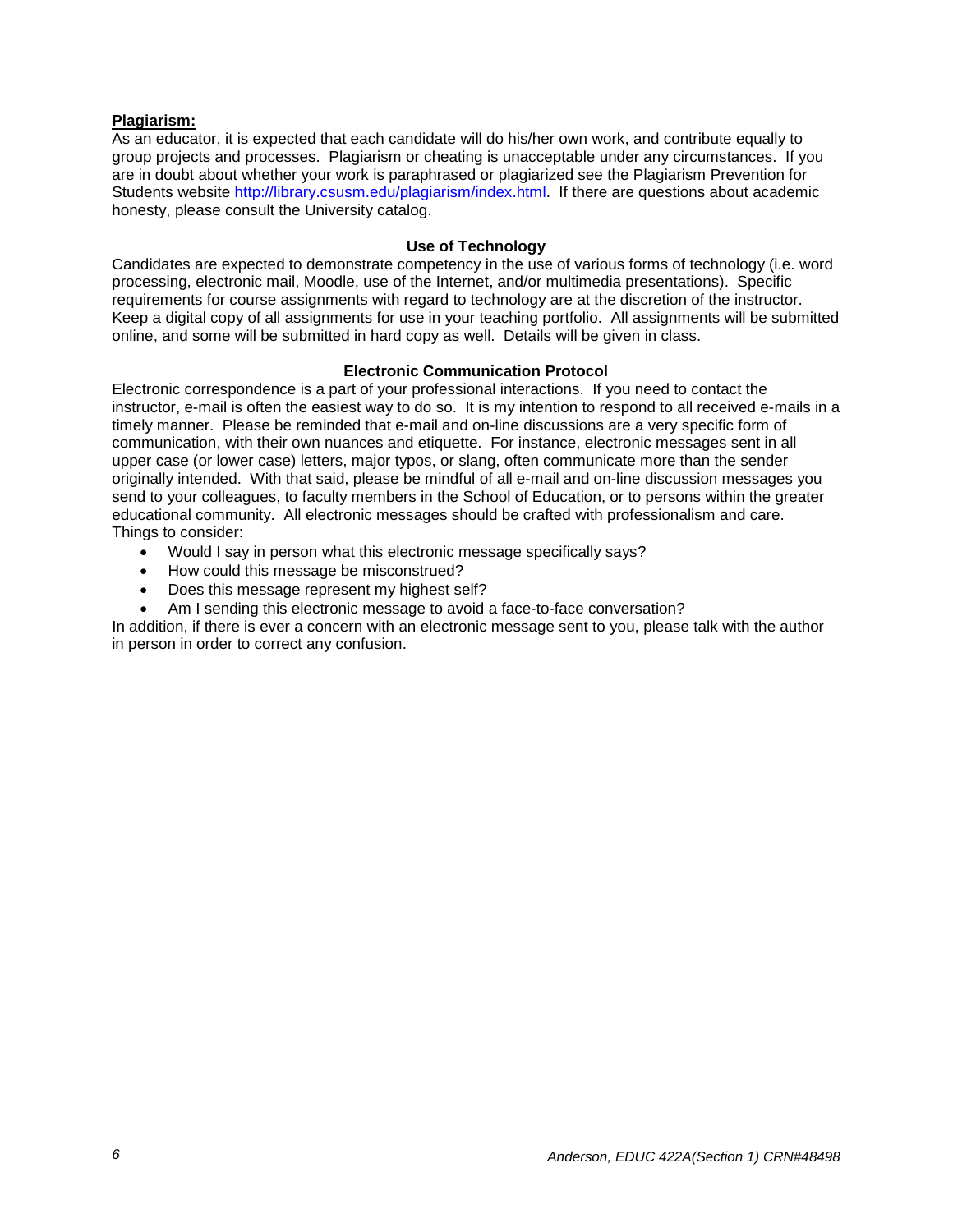## **Plagiarism:**

As an educator, it is expected that each candidate will do his/her own work, and contribute equally to group projects and processes. Plagiarism or cheating is unacceptable under any circumstances. If you are in doubt about whether your work is paraphrased or plagiarized see the Plagiarism Prevention for Students website [http://library.csusm.edu/plagiarism/index.html.](http://library.csusm.edu/plagiarism/index.html) If there are questions about academic honesty, please consult the University catalog.

#### **Use of Technology**

Candidates are expected to demonstrate competency in the use of various forms of technology (i.e. word processing, electronic mail, Moodle, use of the Internet, and/or multimedia presentations). Specific requirements for course assignments with regard to technology are at the discretion of the instructor. Keep a digital copy of all assignments for use in your teaching portfolio. All assignments will be submitted online, and some will be submitted in hard copy as well. Details will be given in class.

## **Electronic Communication Protocol**

Electronic correspondence is a part of your professional interactions. If you need to contact the instructor, e-mail is often the easiest way to do so. It is my intention to respond to all received e-mails in a timely manner. Please be reminded that e-mail and on-line discussions are a very specific form of communication, with their own nuances and etiquette. For instance, electronic messages sent in all upper case (or lower case) letters, major typos, or slang, often communicate more than the sender originally intended. With that said, please be mindful of all e-mail and on-line discussion messages you send to your colleagues, to faculty members in the School of Education, or to persons within the greater educational community. All electronic messages should be crafted with professionalism and care. Things to consider:

- Would I say in person what this electronic message specifically says?
- How could this message be misconstrued?
- Does this message represent my highest self?
- Am I sending this electronic message to avoid a face-to-face conversation?

In addition, if there is ever a concern with an electronic message sent to you, please talk with the author in person in order to correct any confusion.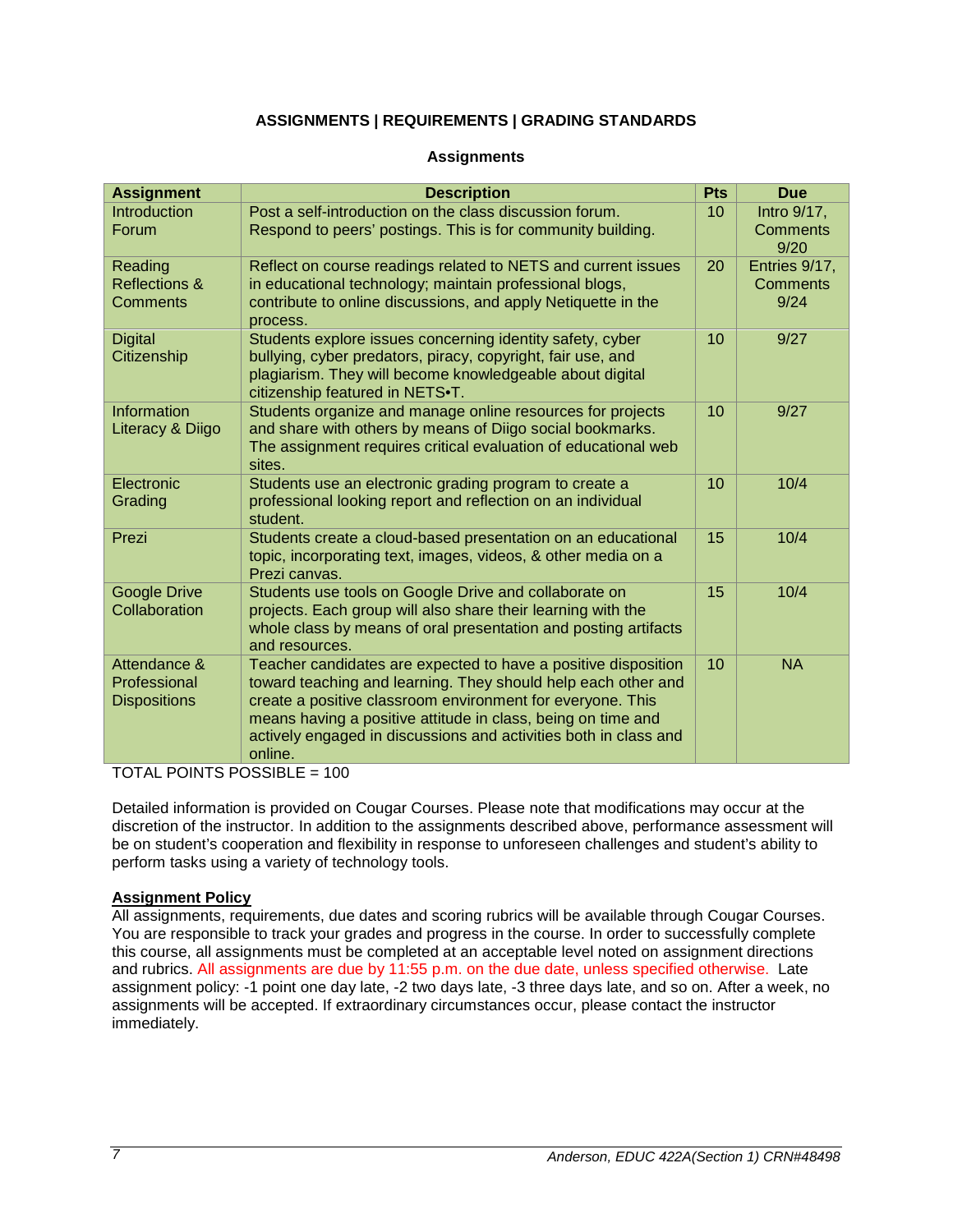# **ASSIGNMENTS | REQUIREMENTS | GRADING STANDARDS**

#### **Assignments**

| <b>Assignment</b>                                   | <b>Description</b>                                                                                                                                                                                                                                                                                                                           | <b>Pts</b>      | <b>Due</b>                       |
|-----------------------------------------------------|----------------------------------------------------------------------------------------------------------------------------------------------------------------------------------------------------------------------------------------------------------------------------------------------------------------------------------------------|-----------------|----------------------------------|
| <b>Introduction</b><br>Forum                        | Post a self-introduction on the class discussion forum.                                                                                                                                                                                                                                                                                      | 10              | Intro 9/17,<br>Comments          |
|                                                     | Respond to peers' postings. This is for community building.                                                                                                                                                                                                                                                                                  |                 | 9/20                             |
| Reading<br><b>Reflections &amp;</b>                 | Reflect on course readings related to NETS and current issues<br>in educational technology; maintain professional blogs,                                                                                                                                                                                                                     | 20              | Entries 9/17,<br><b>Comments</b> |
| Comments                                            | contribute to online discussions, and apply Netiquette in the<br>process.                                                                                                                                                                                                                                                                    |                 | 9/24                             |
| <b>Digital</b><br>Citizenship                       | Students explore issues concerning identity safety, cyber<br>bullying, cyber predators, piracy, copyright, fair use, and<br>plagiarism. They will become knowledgeable about digital<br>citizenship featured in NETS.T.                                                                                                                      | 10              | 9/27                             |
| <b>Information</b><br>Literacy & Diigo              | Students organize and manage online resources for projects<br>and share with others by means of Diigo social bookmarks.<br>The assignment requires critical evaluation of educational web<br>sites.                                                                                                                                          | 10 <sup>1</sup> | 9/27                             |
| Electronic<br>Grading                               | Students use an electronic grading program to create a<br>professional looking report and reflection on an individual<br>student.                                                                                                                                                                                                            | 10 <sup>1</sup> | 10/4                             |
| Prezi                                               | Students create a cloud-based presentation on an educational<br>topic, incorporating text, images, videos, & other media on a<br>Prezi canvas.                                                                                                                                                                                               | 15              | 10/4                             |
| <b>Google Drive</b><br>Collaboration                | Students use tools on Google Drive and collaborate on<br>projects. Each group will also share their learning with the<br>whole class by means of oral presentation and posting artifacts<br>and resources.                                                                                                                                   | 15              | 10/4                             |
| Attendance &<br>Professional<br><b>Dispositions</b> | Teacher candidates are expected to have a positive disposition<br>toward teaching and learning. They should help each other and<br>create a positive classroom environment for everyone. This<br>means having a positive attitude in class, being on time and<br>actively engaged in discussions and activities both in class and<br>online. | 10              | <b>NA</b>                        |

TOTAL POINTS POSSIBLE = 100

Detailed information is provided on Cougar Courses. Please note that modifications may occur at the discretion of the instructor. In addition to the assignments described above, performance assessment will be on student's cooperation and flexibility in response to unforeseen challenges and student's ability to perform tasks using a variety of technology tools.

## **Assignment Policy**

All assignments, requirements, due dates and scoring rubrics will be available through Cougar Courses. You are responsible to track your grades and progress in the course. In order to successfully complete this course, all assignments must be completed at an acceptable level noted on assignment directions and rubrics. All assignments are due by 11:55 p.m. on the due date, unless specified otherwise. Late assignment policy: -1 point one day late, -2 two days late, -3 three days late, and so on. After a week, no assignments will be accepted. If extraordinary circumstances occur, please contact the instructor immediately.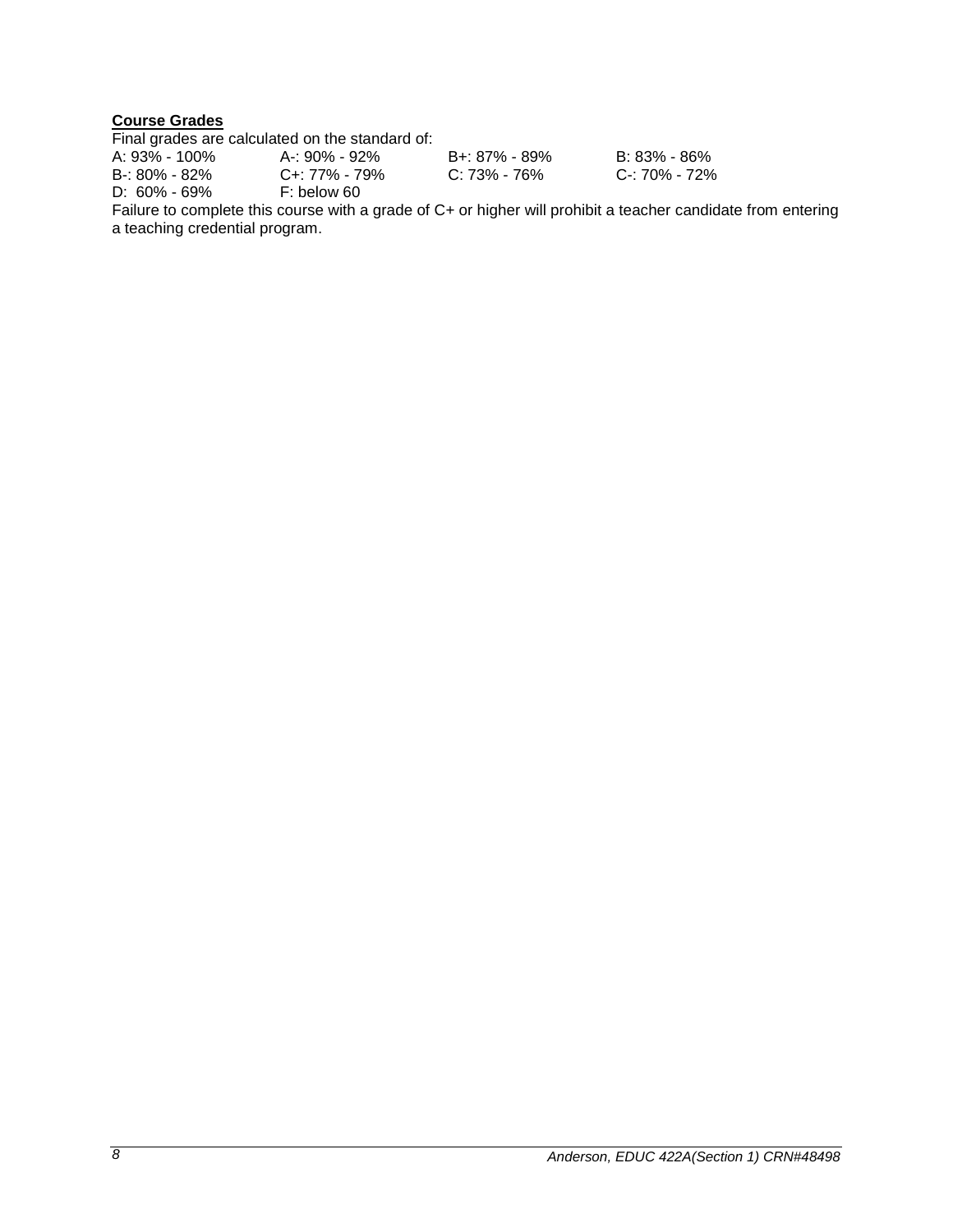## **Course Grades**

D:  $60\% - 69\%$ 

Final grades are calculated on the standard of:<br>A:  $93\% - 100\%$  A-:  $90\% - 92\%$ 

A: 93% - 100% A-: 90% - 92% B+: 87% - 89% B: 83% - 86%<br>B-: 80% - 82% C+: 77% - 79% C: 73% - 76% C-: 70% - 72% C+: 77% - 79%<br>F: below 60

Failure to complete this course with a grade of C+ or higher will prohibit a teacher candidate from entering a teaching credential program.